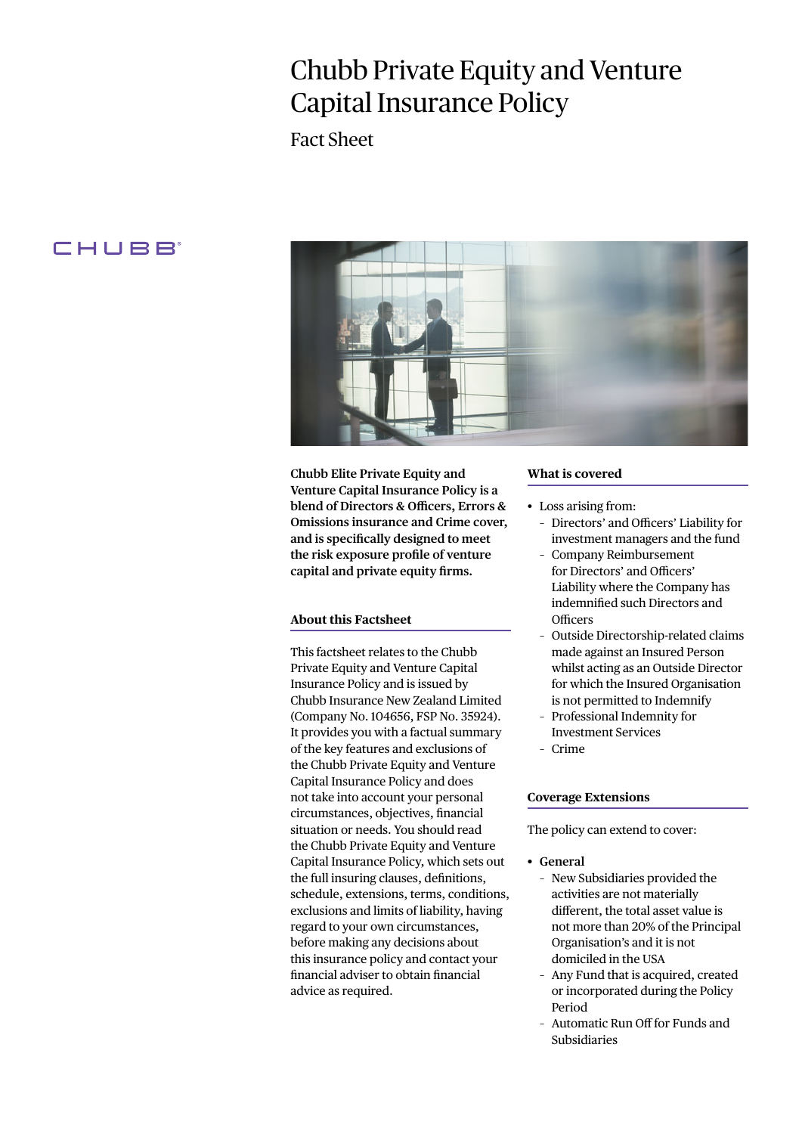# Chubb Private Equity and Venture Capital Insurance Policy

Fact Sheet

# **CHUBB**



**Chubb Elite Private Equity and Venture Capital Insurance Policy is a blend of Directors & Officers, Errors & Omissions insurance and Crime cover, and is specifically designed to meet the risk exposure profile of venture capital and private equity firms.**

#### **About this Factsheet**

This factsheet relates to the Chubb Private Equity and Venture Capital Insurance Policy and is issued by Chubb Insurance New Zealand Limited (Company No. 104656, FSP No. 35924). It provides you with a factual summary of the key features and exclusions of the Chubb Private Equity and Venture Capital Insurance Policy and does not take into account your personal circumstances, objectives, financial situation or needs. You should read the Chubb Private Equity and Venture Capital Insurance Policy, which sets out the full insuring clauses, definitions, schedule, extensions, terms, conditions, exclusions and limits of liability, having regard to your own circumstances, before making any decisions about this insurance policy and contact your financial adviser to obtain financial advice as required.

#### **What is covered**

- Loss arising from:
	- Directors' and Officers' Liability for investment managers and the fund
	- Company Reimbursement for Directors' and Officers' Liability where the Company has indemnified such Directors and **Officers**
	- Outside Directorship-related claims made against an Insured Person whilst acting as an Outside Director for which the Insured Organisation is not permitted to Indemnify
	- Professional Indemnity for Investment Services
	- Crime

#### **Coverage Extensions**

The policy can extend to cover:

- **• General**
	- New Subsidiaries provided the activities are not materially different, the total asset value is not more than 20% of the Principal Organisation's and it is not domiciled in the USA
	- Any Fund that is acquired, created or incorporated during the Policy Period
	- Automatic Run Off for Funds and Subsidiaries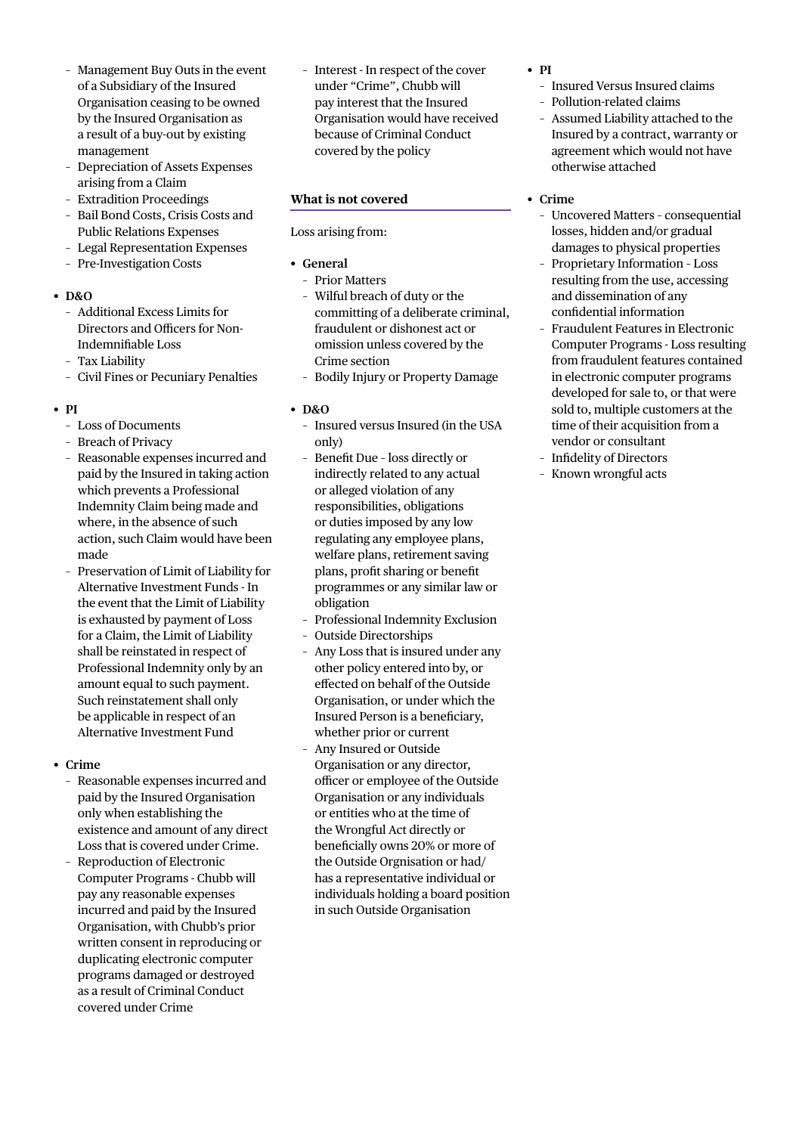- Management Buy Outs in the event of a Subsidiary of the Insured Organisation ceasing to be owned by the Insured Organisation as a result of a buy-out by existing management
- Depreciation of Assets Expenses arising from a Claim
- Extradition Proceedings
- Bail Bond Costs, Crisis Costs and Public Relations Expenses
- Legal Representation Expenses
- Pre-Investigation Costs
- **• D&O**
	- Additional Excess Limits for Directors and Officers for Non-Indemnifiable Loss
	- Tax Liability
	- Civil Fines or Pecuniary Penalties
- **• PI**
	- Loss of Documents
	- Breach of Privacy
	- Reasonable expenses incurred and paid by the Insured in taking action which prevents a Professional Indemnity Claim being made and where, in the absence of such action, such Claim would have been made
	- Preservation of Limit of Liability for Alternative Investment Funds - In the event that the Limit of Liability is exhausted by payment of Loss for a Claim, the Limit of Liability shall be reinstated in respect of Professional Indemnity only by an amount equal to such payment. Such reinstatement shall only be applicable in respect of an Alternative Investment Fund
- **• Crime**
	- Reasonable expenses incurred and paid by the Insured Organisation only when establishing the existence and amount of any direct Loss that is covered under Crime.
	- Reproduction of Electronic Computer Programs - Chubb will pay any reasonable expenses incurred and paid by the Insured Organisation, with Chubb's prior written consent in reproducing or duplicating electronic computer programs damaged or destroyed as a result of Criminal Conduct covered under Crime

– Interest - In respect of the cover under "Crime", Chubb will pay interest that the Insured Organisation would have received because of Criminal Conduct covered by the policy

#### **What is not covered**

#### Loss arising from:

### **• General**

- Prior Matters
- Wilful breach of duty or the committing of a deliberate criminal, fraudulent or dishonest act or omission unless covered by the Crime section
- Bodily Injury or Property Damage

#### **• D&O**

- Insured versus Insured (in the USA only)
- Benefit Due loss directly or indirectly related to any actual or alleged violation of any responsibilities, obligations or duties imposed by any low regulating any employee plans, welfare plans, retirement saving plans, profit sharing or benefit programmes or any similar law or obligation
- Professional Indemnity Exclusion
- Outside Directorships
- Any Loss that is insured under any other policy entered into by, or effected on behalf of the Outside Organisation, or under which the Insured Person is a beneficiary, whether prior or current
- Any Insured or Outside Organisation or any director, officer or employee of the Outside Organisation or any individuals or entities who at the time of the Wrongful Act directly or beneficially owns 20% or more of the Outside Orgnisation or had/ has a representative individual or individuals holding a board position in such Outside Organisation
- **• PI**
	- Insured Versus Insured claims
	- Pollution-related claims
	- Assumed Liability attached to the Insured by a contract, warranty or agreement which would not have otherwise attached

## **• Crime**

- Uncovered Matters consequential losses, hidden and/or gradual damages to physical properties
- Proprietary Information Loss resulting from the use, accessing and dissemination of any confidential information
- Fraudulent Features in Electronic Computer Programs - Loss resulting from fraudulent features contained in electronic computer programs developed for sale to, or that were sold to, multiple customers at the time of their acquisition from a vendor or consultant
- Infidelity of Directors
- Known wrongful acts